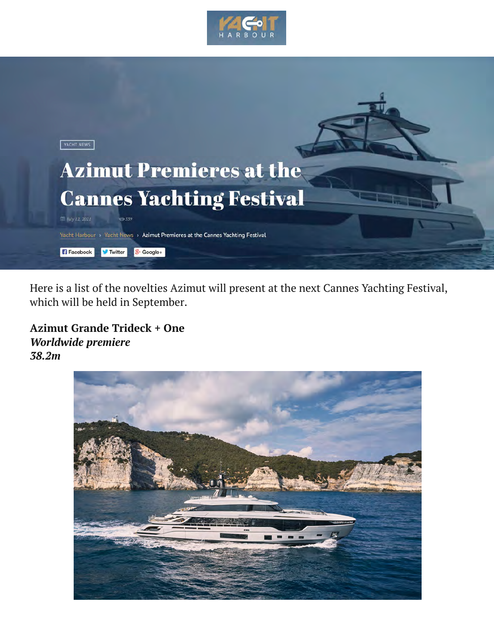



Here is a list of the novelties Azimut will present at the next Cannes Yachting Festival, which will be held in September.

## **Azimut Grande Trideck + One** *Worldwide premiere 38.2m*

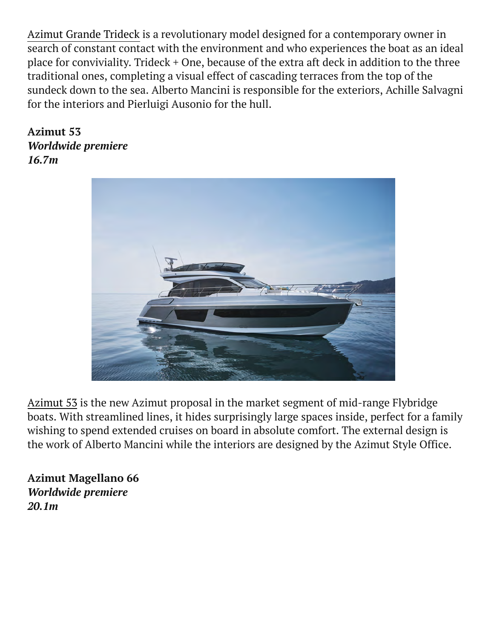[Azimut Grande Trideck](https://yachtharbour.com/news/pushing-the-boundaries--azimut-grande-trideck-4282) is a revolutionary model designed for a contemporary owner in search of constant contact with the environment and who experiences the boat as an ideal place for conviviality. Trideck + One, because of the extra aft deck in addition to the three traditional ones, completing a visual effect of cascading terraces from the top of the sundeck down to the sea. Alberto Mancini is responsible for the exteriors, Achille Salvagni for the interiors and Pierluigi Ausonio for the hull.

**Azimut 53** *Worldwide premiere 16.7m*



Azimut 53 is the new Azimut proposal in the market segment of mid-range Flybridge boats. With streamlined lines, it hides surprisingly large spaces inside, perfect for a family wishing to spend extended cruises on board in absolute comfort. The external design is the work of Alberto Mancini while the interiors are designed by the Azimut Style Office.

**Azimut Magellano 66**  *Worldwide premiere 20.1m*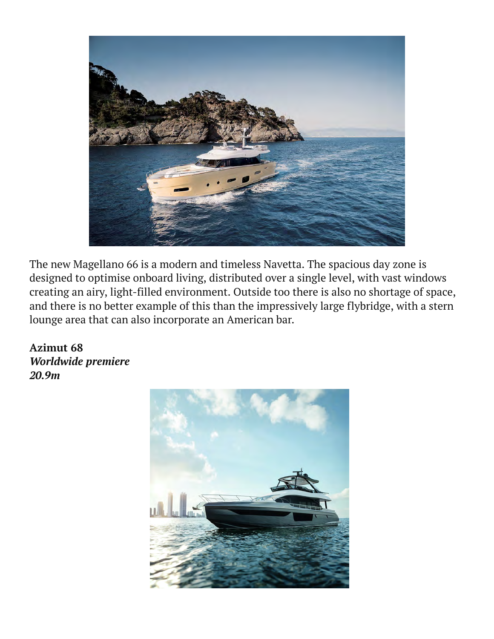

The new Magellano 66 is a modern and timeless Navetta. The spacious day zone is designed to optimise onboard living, distributed over a single level, with vast windows creating an airy, light-filled environment. Outside too there is also no shortage of space, and there is no better example of this than the impressively large flybridge, with a stern lounge area that can also incorporate an American bar.

**Azimut 68**  *Worldwide premiere 20.9m*